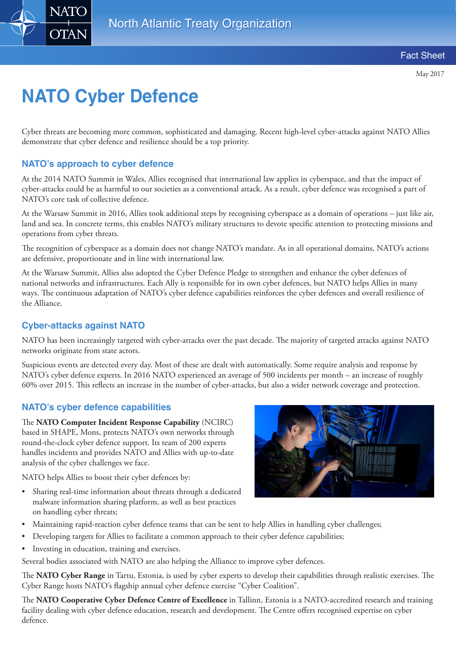

# **NATO Cyber Defence**

Cyber threats are becoming more common, sophisticated and damaging. Recent high-level cyber-attacks against NATO Allies demonstrate that cyber defence and resilience should be a top priority.

## **NATO's approach to cyber defence**

At the 2014 NATO Summit in Wales, Allies recognised that international law applies in cyberspace, and that the impact of cyber-attacks could be as harmful to our societies as a conventional attack. As a result, cyber defence was recognised a part of NATO's core task of collective defence.

At the Warsaw Summit in 2016, Allies took additional steps by recognising cyberspace as a domain of operations – just like air, land and sea. In concrete terms, this enables NATO's military structures to devote specific attention to protecting missions and operations from cyber threats.

The recognition of cyberspace as a domain does not change NATO's mandate. As in all operational domains, NATO's actions are defensive, proportionate and in line with international law.

At the Warsaw Summit, Allies also adopted the Cyber Defence Pledge to strengthen and enhance the cyber defences of national networks and infrastructures. Each Ally is responsible for its own cyber defences, but NATO helps Allies in many ways. The continuous adaptation of NATO's cyber defence capabilities reinforces the cyber defences and overall resilience of the Alliance.

### **Cyber-attacks against NATO**

NATO has been increasingly targeted with cyber-attacks over the past decade. The majority of targeted attacks against NATO networks originate from state actors.

Suspicious events are detected every day. Most of these are dealt with automatically. Some require analysis and response by NATO's cyber defence experts. In 2016 NATO experienced an average of 500 incidents per month – an increase of roughly 60% over 2015. This reflects an increase in the number of cyber-attacks, but also a wider network coverage and protection.

#### **NATO's cyber defence capabilities**

The **NATO Computer Incident Response Capability** (NCIRC) based in SHAPE, Mons, protects NATO's own networks through round-the-clock cyber defence support. Its team of 200 experts handles incidents and provides NATO and Allies with up-to-date analysis of the cyber challenges we face.

NATO helps Allies to boost their cyber defences by:

• Sharing real-time information about threats through a dedicated malware information sharing platform, as well as best practices on handling cyber threats;



- Maintaining rapid-reaction cyber defence teams that can be sent to help Allies in handling cyber challenges;
- Developing targets for Allies to facilitate a common approach to their cyber defence capabilities;
- Investing in education, training and exercises.

Several bodies associated with NATO are also helping the Alliance to improve cyber defences.

The **NATO Cyber Range** in Tartu, Estonia, is used by cyber experts to develop their capabilities through realistic exercises. The Cyber Range hosts NATO's flagship annual cyber defence exercise "Cyber Coalition".

The **NATO Cooperative Cyber Defence Centre of Excellence** in Tallinn, Estonia is a NATO-accredited research and training facility dealing with cyber defence education, research and development. The Centre offers recognised expertise on cyber defence.